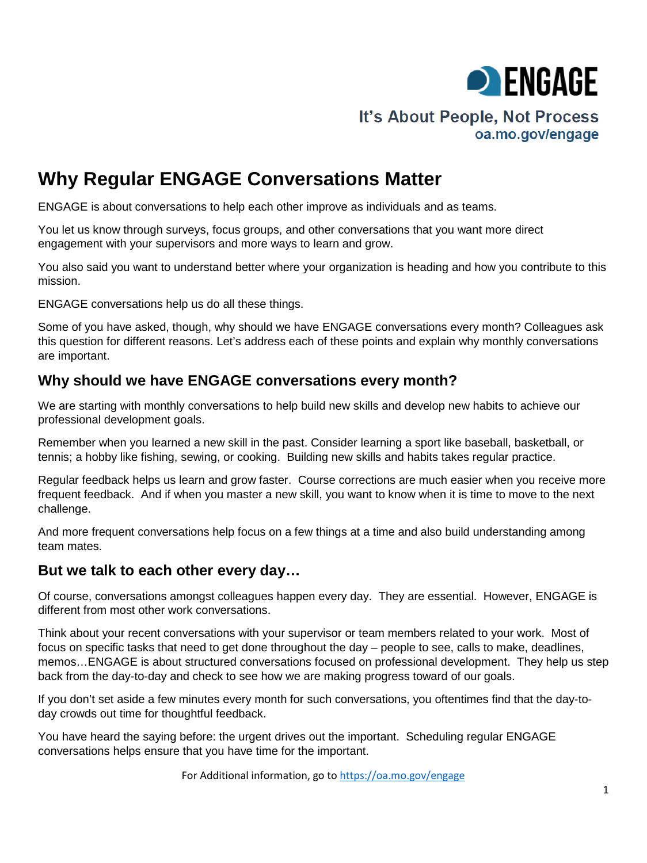

# It's About People, Not Process oa.mo.gov/engage

# **Why Regular ENGAGE Conversations Matter**

ENGAGE is about conversations to help each other improve as individuals and as teams.

You let us know through surveys, focus groups, and other conversations that you want more direct engagement with your supervisors and more ways to learn and grow.

You also said you want to understand better where your organization is heading and how you contribute to this mission.

ENGAGE conversations help us do all these things.

Some of you have asked, though, why should we have ENGAGE conversations every month? Colleagues ask this question for different reasons. Let's address each of these points and explain why monthly conversations are important.

## **Why should we have ENGAGE conversations every month?**

We are starting with monthly conversations to help build new skills and develop new habits to achieve our professional development goals.

Remember when you learned a new skill in the past. Consider learning a sport like baseball, basketball, or tennis; a hobby like fishing, sewing, or cooking. Building new skills and habits takes regular practice.

Regular feedback helps us learn and grow faster. Course corrections are much easier when you receive more frequent feedback. And if when you master a new skill, you want to know when it is time to move to the next challenge.

And more frequent conversations help focus on a few things at a time and also build understanding among team mates.

#### **But we talk to each other every day…**

Of course, conversations amongst colleagues happen every day. They are essential. However, ENGAGE is different from most other work conversations.

Think about your recent conversations with your supervisor or team members related to your work. Most of focus on specific tasks that need to get done throughout the day – people to see, calls to make, deadlines, memos…ENGAGE is about structured conversations focused on professional development. They help us step back from the day-to-day and check to see how we are making progress toward of our goals.

If you don't set aside a few minutes every month for such conversations, you oftentimes find that the day-today crowds out time for thoughtful feedback.

You have heard the saying before: the urgent drives out the important. Scheduling regular ENGAGE conversations helps ensure that you have time for the important.

For Additional information, go to<https://oa.mo.gov/engage>